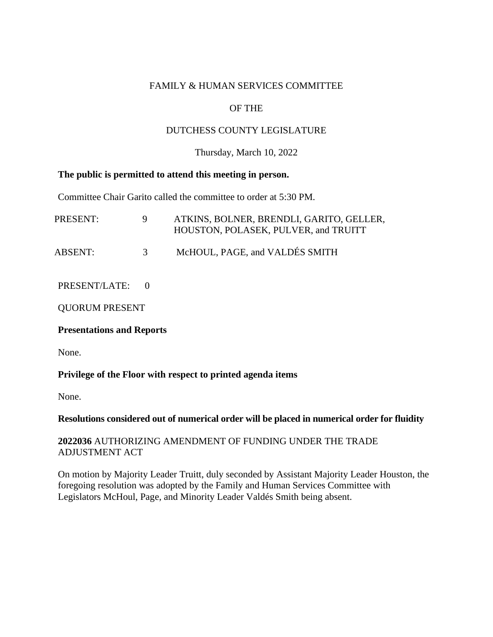### FAMILY & HUMAN SERVICES COMMITTEE

# OF THE

### DUTCHESS COUNTY LEGISLATURE

#### Thursday, March 10, 2022

#### **The public is permitted to attend this meeting in person.**

Committee Chair Garito called the committee to order at 5:30 PM.

| PRESENT: |               | ATKINS, BOLNER, BRENDLI, GARITO, GELLER,<br>HOUSTON, POLASEK, PULVER, and TRUITT |
|----------|---------------|----------------------------------------------------------------------------------|
| ABSENT:  | $\mathcal{R}$ | McHOUL, PAGE, and VALDÉS SMITH                                                   |

PRESENT/LATE: 0

QUORUM PRESENT

#### **Presentations and Reports**

None.

# **Privilege of the Floor with respect to printed agenda items**

None.

# **Resolutions considered out of numerical order will be placed in numerical order for fluidity**

### **2022036** AUTHORIZING AMENDMENT OF FUNDING UNDER THE TRADE ADJUSTMENT ACT

On motion by Majority Leader Truitt, duly seconded by Assistant Majority Leader Houston, the foregoing resolution was adopted by the Family and Human Services Committee with Legislators McHoul, Page, and Minority Leader Valdés Smith being absent.